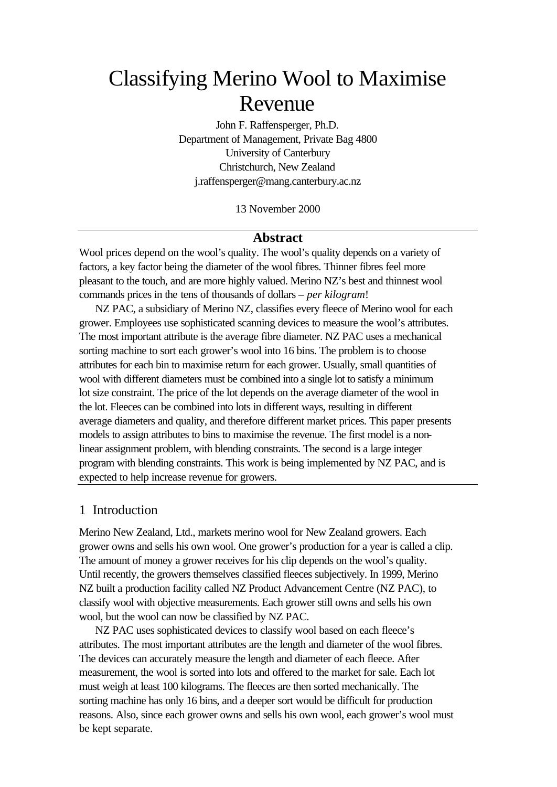# Classifying Merino Wool to Maximise Revenue

John F. Raffensperger, Ph.D. Department of Management, Private Bag 4800 University of Canterbury Christchurch, New Zealand j.raffensperger@mang.canterbury.ac.nz

13 November 2000

### **Abstract**

Wool prices depend on the wool's quality. The wool's quality depends on a variety of factors, a key factor being the diameter of the wool fibres. Thinner fibres feel more pleasant to the touch, and are more highly valued. Merino NZ's best and thinnest wool commands prices in the tens of thousands of dollars – *per kilogram*!

NZ PAC, a subsidiary of Merino NZ, classifies every fleece of Merino wool for each grower. Employees use sophisticated scanning devices to measure the wool's attributes. The most important attribute is the average fibre diameter. NZ PAC uses a mechanical sorting machine to sort each grower's wool into 16 bins. The problem is to choose attributes for each bin to maximise return for each grower. Usually, small quantities of wool with different diameters must be combined into a single lot to satisfy a minimum lot size constraint. The price of the lot depends on the average diameter of the wool in the lot. Fleeces can be combined into lots in different ways, resulting in different average diameters and quality, and therefore different market prices. This paper presents models to assign attributes to bins to maximise the revenue. The first model is a nonlinear assignment problem, with blending constraints. The second is a large integer program with blending constraints. This work is being implemented by NZ PAC, and is expected to help increase revenue for growers.

# 1 Introduction

Merino New Zealand, Ltd., markets merino wool for New Zealand growers. Each grower owns and sells his own wool. One grower's production for a year is called a clip. The amount of money a grower receives for his clip depends on the wool's quality. Until recently, the growers themselves classified fleeces subjectively. In 1999, Merino NZ built a production facility called NZ Product Advancement Centre (NZ PAC), to classify wool with objective measurements. Each grower still owns and sells his own wool, but the wool can now be classified by NZ PAC.

NZ PAC uses sophisticated devices to classify wool based on each fleece's attributes. The most important attributes are the length and diameter of the wool fibres. The devices can accurately measure the length and diameter of each fleece. After measurement, the wool is sorted into lots and offered to the market for sale. Each lot must weigh at least 100 kilograms. The fleeces are then sorted mechanically. The sorting machine has only 16 bins, and a deeper sort would be difficult for production reasons. Also, since each grower owns and sells his own wool, each grower's wool must be kept separate.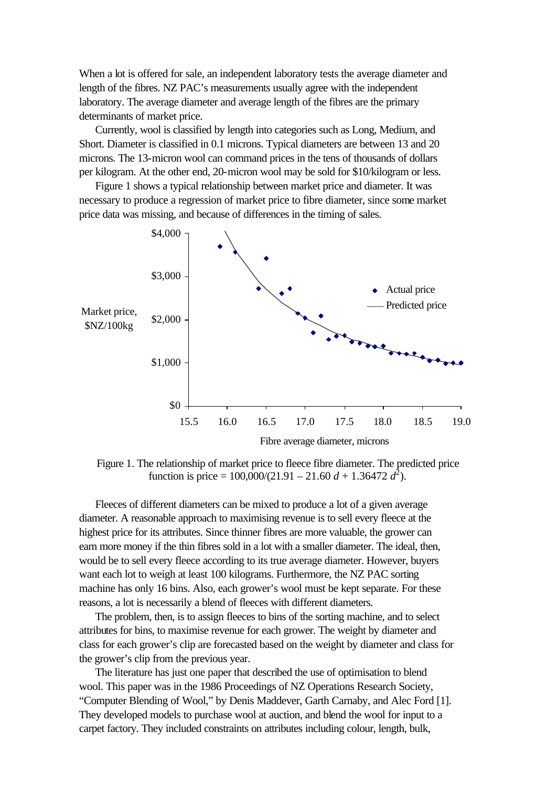When a lot is offered for sale, an independent laboratory tests the average diameter and length of the fibres. NZ PAC's measurements usually agree with the independent laboratory. The average diameter and average length of the fibres are the primary determinants of market price.

Currently, wool is classified by length into categories such as Long, Medium, and Short. Diameter is classified in 0.1 microns. Typical diameters are between 13 and 20 microns. The 13-micron wool can command prices in the tens of thousands of dollars per kilogram. At the other end, 20-micron wool may be sold for \$10/kilogram or less.

Figure 1 shows a typical relationship between market price and diameter. It was necessary to produce a regression of market price to fibre diameter, since some market price data was missing, and because of differences in the timing of sales.



Figure 1. The relationship of market price to fleece fibre diameter. The predicted price function is price =  $100,000/(21.91 - 21.60 d + 1.36472 d^2)$ .

Fleeces of different diameters can be mixed to produce a lot of a given average diameter. A reasonable approach to maximising revenue is to sell every fleece at the highest price for its attributes. Since thinner fibres are more valuable, the grower can earn more money if the thin fibres sold in a lot with a smaller diameter. The ideal, then, would be to sell every fleece according to its true average diameter. However, buyers want each lot to weigh at least 100 kilograms. Furthermore, the NZ PAC sorting machine has only 16 bins. Also, each grower's wool must be kept separate. For these reasons, a lot is necessarily a blend of fleeces with different diameters.

The problem, then, is to assign fleeces to bins of the sorting machine, and to select attributes for bins, to maximise revenue for each grower. The weight by diameter and class for each grower's clip are forecasted based on the weight by diameter and class for the grower's clip from the previous year.

The literature has just one paper that described the use of optimisation to blend wool. This paper was in the 1986 Proceedings of NZ Operations Research Society, "Computer Blending of Wool," by Denis Maddever, Garth Carnaby, and Alec Ford [1]. They developed models to purchase wool at auction, and blend the wool for input to a carpet factory. They included constraints on attributes including colour, length, bulk,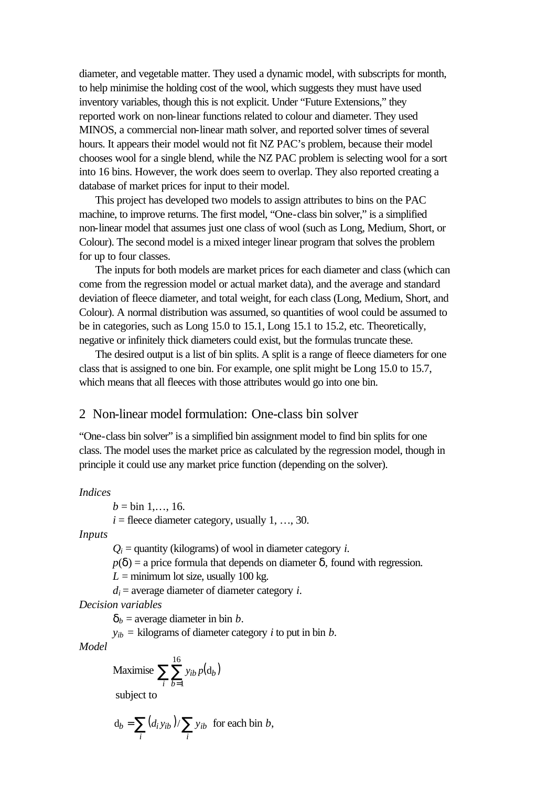diameter, and vegetable matter. They used a dynamic model, with subscripts for month, to help minimise the holding cost of the wool, which suggests they must have used inventory variables, though this is not explicit. Under "Future Extensions," they reported work on non-linear functions related to colour and diameter. They used MINOS, a commercial non-linear math solver, and reported solver times of several hours. It appears their model would not fit NZ PAC's problem, because their model chooses wool for a single blend, while the NZ PAC problem is selecting wool for a sort into 16 bins. However, the work does seem to overlap. They also reported creating a database of market prices for input to their model.

This project has developed two models to assign attributes to bins on the PAC machine, to improve returns. The first model, "One-class bin solver," is a simplified non-linear model that assumes just one class of wool (such as Long, Medium, Short, or Colour). The second model is a mixed integer linear program that solves the problem for up to four classes.

The inputs for both models are market prices for each diameter and class (which can come from the regression model or actual market data), and the average and standard deviation of fleece diameter, and total weight, for each class (Long, Medium, Short, and Colour). A normal distribution was assumed, so quantities of wool could be assumed to be in categories, such as Long 15.0 to 15.1, Long 15.1 to 15.2, etc. Theoretically, negative or infinitely thick diameters could exist, but the formulas truncate these.

The desired output is a list of bin splits. A split is a range of fleece diameters for one class that is assigned to one bin. For example, one split might be Long 15.0 to 15.7, which means that all fleeces with those attributes would go into one bin.

## 2 Non-linear model formulation: One-class bin solver

"One-class bin solver" is a simplified bin assignment model to find bin splits for one class. The model uses the market price as calculated by the regression model, though in principle it could use any market price function (depending on the solver).

#### *Indices*

 $b = bin 1, \ldots, 16.$ 

 $i =$  fleece diameter category, usually 1, ..., 30.

*Inputs*

 $Q_i$  = quantity (kilograms) of wool in diameter category *i*.

 $p(\boldsymbol{d}) =$  a price formula that depends on diameter  $\boldsymbol{d}$ , found with regression.

 $L =$  minimum lot size, usually 100 kg.

 $d_i$  = average diameter of diameter category *i*.

*Decision variables*

 $d_b$  = average diameter in bin *b*.

 $y_{ib}$  = kilograms of diameter category *i* to put in bin *b*.

*Model*

Maximise 
$$
\sum_{i} \sum_{b=1}^{16} y_{ib} p(d_b)
$$
subject to

$$
d_b = \sum_i (d_i y_{ib}) / \sum_i y_{ib}
$$
 for each bin b,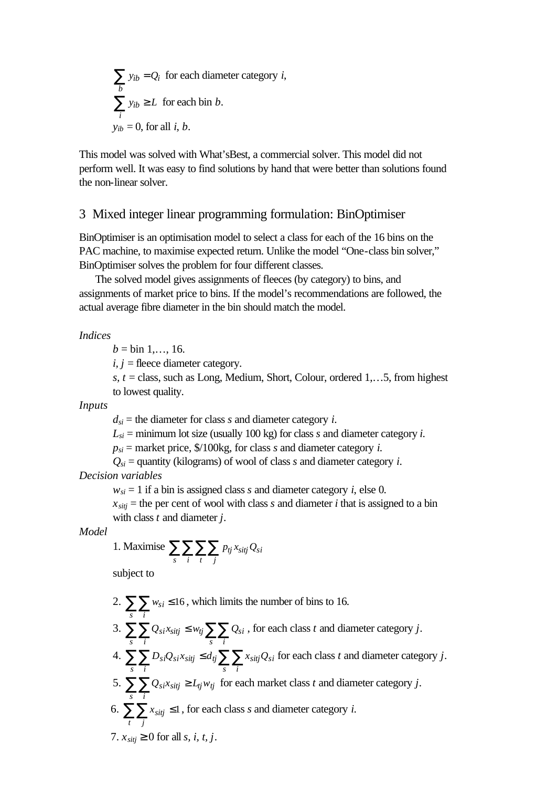$$
\sum_{b} y_{ib} = Q_i
$$
 for each diameter category *i*,  

$$
\sum_{i} y_{ib} \ge L
$$
 for each bin *b*.  

$$
y_{ib} = 0
$$
, for all *i*, *b*.

This model was solved with What'sBest, a commercial solver. This model did not perform well. It was easy to find solutions by hand that were better than solutions found the non-linear solver.

# 3 Mixed integer linear programming formulation: BinOptimiser

BinOptimiser is an optimisation model to select a class for each of the 16 bins on the PAC machine, to maximise expected return. Unlike the model "One-class bin solver," BinOptimiser solves the problem for four different classes.

The solved model gives assignments of fleeces (by category) to bins, and assignments of market price to bins. If the model's recommendations are followed, the actual average fibre diameter in the bin should match the model.

#### *Indices*

 $b = bin 1, \ldots, 16.$ 

 $i, j$  = fleece diameter category.

*s, t* = class, such as Long, Medium, Short, Colour, ordered 1,…5, from highest to lowest quality.

*Inputs*

 $d_{si}$  = the diameter for class *s* and diameter category *i*.

 $L_{si}$  = minimum lot size (usually 100 kg) for class *s* and diameter category *i*.

 $p_{si}$  = market price, \$/100kg, for class *s* and diameter category *i*.

```
Q_{si} = quantity (kilograms) of wool of class s and diameter category i.
```
*Decision variables*

 $w_{si} = 1$  if a bin is assigned class *s* and diameter category *i*, else 0*.* 

 $x_{\text{sitj}}$  = the per cent of wool with class *s* and diameter *i* that is assigned to a bin with class *t* and diameter *j*.

*Model*

1. Maximise 
$$
\sum_{s} \sum_{i} \sum_{t} \sum_{j} p_{tj} x_{sitj} Q_{si}
$$

subject to

- 2.  $\sum \sum w_{si} \le 16$ *s i*  $w_{si} \le 16$ , which limits the number of bins to 16. 3.  $\sum \sum Q_{si} x_{sitj} \leq w_{tj} \sum \sum$ *s i tj*  $\sum \sum Q_{Si}$ *s i*  $Q_{si}x_{sijj} \leq w_{tj} \sum \sum Q_{si}$ , for each class *t* and diameter category *j*. 4.  $\sum \sum D_{si}Q_{si}x_{sitj} \le d_{tj}\sum \sum$ *s i tj*  $\sum \sum x_{sitj}Q_{si}$ *s i*  $D_{si}Q_{si}x_{sitj} \le d_{tj}\sum X_{sitj}Q_{si}$  for each class *t* and diameter category *j*. 5.  $\sum \sum Q_{si} x_{sij} \ge L_{ij} w_{tj}$  for each market class *t* and diameter category *j*. *s i* 6.  $\sum \sum x_{sitj} \leq 1$ *t j*  $x_{sitj} \leq 1$ , for each class *s* and diameter category *i*.
- 7.  $x_{\text{s}i\text{t}i} \geq 0$  for all *s*, *i*, *i*, *i*.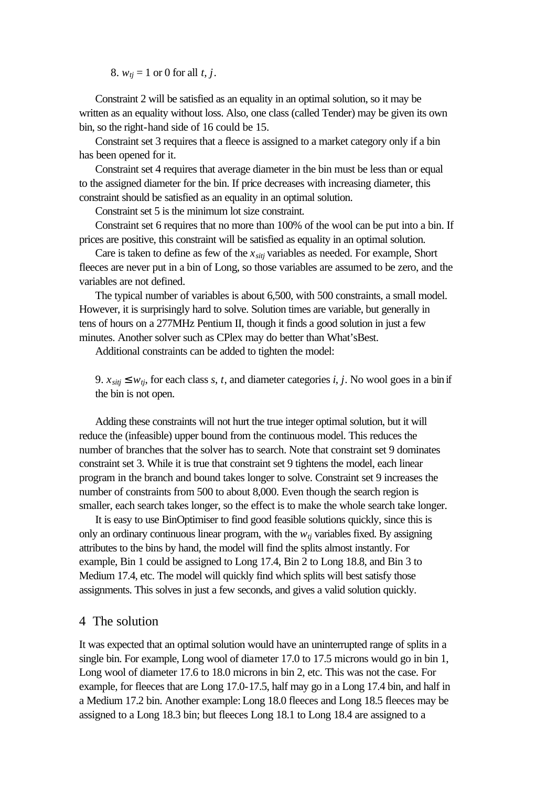8. *wtj* = 1 or 0 for all *t, j*.

Constraint 2 will be satisfied as an equality in an optimal solution, so it may be written as an equality without loss. Also, one class (called Tender) may be given its own bin, so the right-hand side of 16 could be 15.

Constraint set 3 requires that a fleece is assigned to a market category only if a bin has been opened for it.

Constraint set 4 requires that average diameter in the bin must be less than or equal to the assigned diameter for the bin. If price decreases with increasing diameter, this constraint should be satisfied as an equality in an optimal solution.

Constraint set 5 is the minimum lot size constraint.

Constraint set 6 requires that no more than 100% of the wool can be put into a bin. If prices are positive, this constraint will be satisfied as equality in an optimal solution.

Care is taken to define as few of the *xsitj* variables as needed. For example, Short fleeces are never put in a bin of Long, so those variables are assumed to be zero, and the variables are not defined.

The typical number of variables is about 6,500, with 500 constraints, a small model. However, it is surprisingly hard to solve. Solution times are variable, but generally in tens of hours on a 277MHz Pentium II, though it finds a good solution in just a few minutes. Another solver such as CPlex may do better than What'sBest.

Additional constraints can be added to tighten the model:

9.  $x_{sij} \leq w_{tj}$ , for each class *s*, *t*, and diameter categories *i*, *j*. No wool goes in a bin if the bin is not open.

Adding these constraints will not hurt the true integer optimal solution, but it will reduce the (infeasible) upper bound from the continuous model. This reduces the number of branches that the solver has to search. Note that constraint set 9 dominates constraint set 3. While it is true that constraint set 9 tightens the model, each linear program in the branch and bound takes longer to solve. Constraint set 9 increases the number of constraints from 500 to about 8,000. Even though the search region is smaller, each search takes longer, so the effect is to make the whole search take longer.

It is easy to use BinOptimiser to find good feasible solutions quickly, since this is only an ordinary continuous linear program, with the  $w<sub>ti</sub>$  variables fixed. By assigning attributes to the bins by hand, the model will find the splits almost instantly. For example, Bin 1 could be assigned to Long 17.4, Bin 2 to Long 18.8, and Bin 3 to Medium 17.4, etc. The model will quickly find which splits will best satisfy those assignments. This solves in just a few seconds, and gives a valid solution quickly.

## 4 The solution

It was expected that an optimal solution would have an uninterrupted range of splits in a single bin. For example, Long wool of diameter 17.0 to 17.5 microns would go in bin 1, Long wool of diameter 17.6 to 18.0 microns in bin 2, etc. This was not the case. For example, for fleeces that are Long 17.0-17.5, half may go in a Long 17.4 bin, and half in a Medium 17.2 bin. Another example: Long 18.0 fleeces and Long 18.5 fleeces may be assigned to a Long 18.3 bin; but fleeces Long 18.1 to Long 18.4 are assigned to a